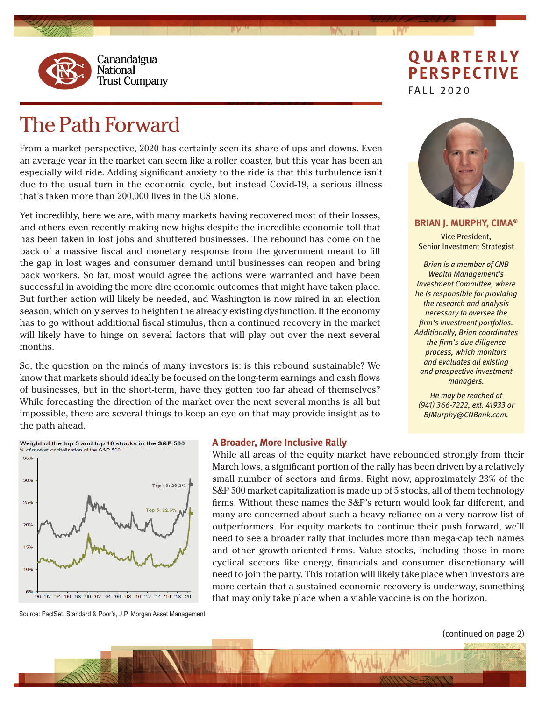

# The Path Forward

From a market perspective, 2020 has certainly seen its share of ups and downs. Even an average year in the market can seem like a roller coaster, but this year has been an especially wild ride. Adding significant anxiety to the ride is that this turbulence isn't due to the usual turn in the economic cycle, but instead Covid-19, a serious illness that's taken more than 200,000 lives in the US alone.

Yet incredibly, here we are, with many markets having recovered most of their losses, and others even recently making new highs despite the incredible economic toll that has been taken in lost jobs and shuttered businesses. The rebound has come on the back of a massive fiscal and monetary response from the government meant to fill the gap in lost wages and consumer demand until businesses can reopen and bring back workers. So far, most would agree the actions were warranted and have been successful in avoiding the more dire economic outcomes that might have taken place. But further action will likely be needed, and Washington is now mired in an election season, which only serves to heighten the already existing dysfunction. If the economy has to go without additional fiscal stimulus, then a continued recovery in the market will likely have to hinge on several factors that will play out over the next several months.

So, the question on the minds of many investors is: is this rebound sustainable? We know that markets should ideally be focused on the long-term earnings and cash flows of businesses, but in the short-term, have they gotten too far ahead of themselves? While forecasting the direction of the market over the next several months is all but impossible, there are several things to keep an eye on that may provide insight as to the path ahead.

# **QUARTERLY PERSPECTIVE** FALL 2020



**BRIAN J. MURPHY, CIMA®** Vice President, Senior Investment Strategist

*Brian is a member of CNB Wealth Management's Investment Committee, where he is responsible for providing the research and analysis necessary to oversee the firm's investment portfolios. Additionally, Brian coordinates the firm's due diligence process, which monitors and evaluates all existing and prospective investment managers.*

*He may be reached at (941) 366-7222, ext. 41933 or BJMurphy@CNBank.com.*



#### **A Broader, More Inclusive Rally**

While all areas of the equity market have rebounded strongly from their March lows, a significant portion of the rally has been driven by a relatively small number of sectors and firms. Right now, approximately 23% of the S&P 500 market capitalization is made up of 5 stocks, all of them technology firms. Without these names the S&P's return would look far different, and many are concerned about such a heavy reliance on a very narrow list of outperformers. For equity markets to continue their push forward, we'll need to see a broader rally that includes more than mega-cap tech names and other growth-oriented firms. Value stocks, including those in more cyclical sectors like energy, financials and consumer discretionary will need to join the party. This rotation will likely take place when investors are more certain that a sustained economic recovery is underway, something that may only take place when a viable vaccine is on the horizon.

Source: FactSet, Standard & Poor's, J.P. Morgan Asset Management

(continued on page 2)